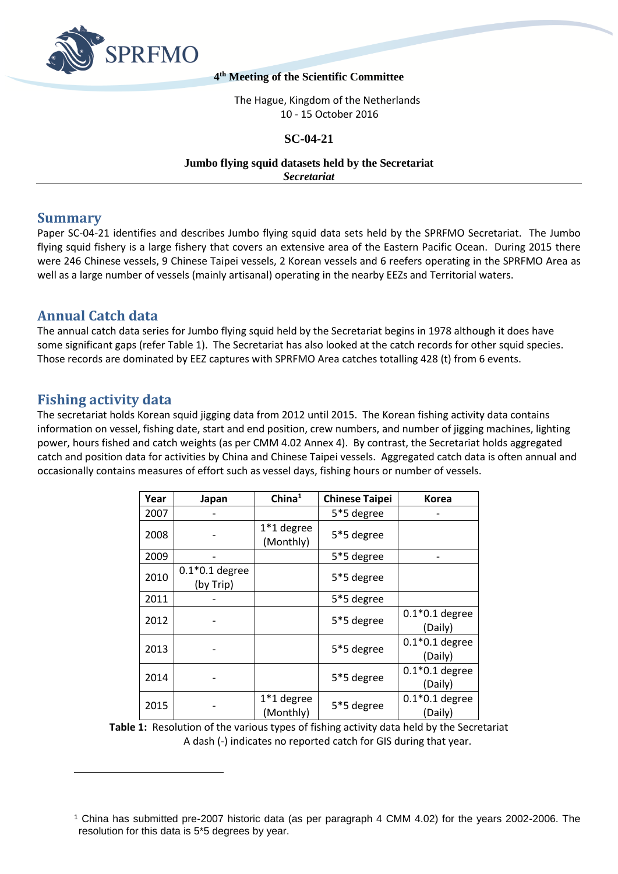

#### **4 th Meeting of the Scientific Committee**

The Hague, Kingdom of the Netherlands 10 - 15 October 2016

### **SC-04-21**

#### **Jumbo flying squid datasets held by the Secretariat** *Secretariat*

## **Summary**

Paper SC-04-21 identifies and describes Jumbo flying squid data sets held by the SPRFMO Secretariat. The Jumbo flying squid fishery is a large fishery that covers an extensive area of the Eastern Pacific Ocean. During 2015 there were 246 Chinese vessels, 9 Chinese Taipei vessels, 2 Korean vessels and 6 reefers operating in the SPRFMO Area as well as a large number of vessels (mainly artisanal) operating in the nearby EEZs and Territorial waters.

## **Annual Catch data**

The annual catch data series for Jumbo flying squid held by the Secretariat begins in 1978 although it does have some significant gaps (refer Table 1). The Secretariat has also looked at the catch records for other squid species. Those records are dominated by EEZ captures with SPRFMO Area catches totalling 428 (t) from 6 events.

# **Fishing activity data**

 $\overline{a}$ 

The secretariat holds Korean squid jigging data from 2012 until 2015. The Korean fishing activity data contains information on vessel, fishing date, start and end position, crew numbers, and number of jigging machines, lighting power, hours fished and catch weights (as per CMM 4.02 Annex 4). By contrast, the Secretariat holds aggregated catch and position data for activities by China and Chinese Taipei vessels. Aggregated catch data is often annual and occasionally contains measures of effort such as vessel days, fishing hours or number of vessels.

| Year | Japan                         | China <sup>1</sup>        | <b>Chinese Taipei</b> | Korea                       |
|------|-------------------------------|---------------------------|-----------------------|-----------------------------|
| 2007 |                               |                           | 5*5 degree            |                             |
| 2008 |                               | $1*1$ degree<br>(Monthly) | 5*5 degree            |                             |
| 2009 |                               |                           | 5*5 degree            |                             |
| 2010 | $0.1*0.1$ degree<br>(by Trip) |                           | 5*5 degree            |                             |
| 2011 |                               |                           | 5*5 degree            |                             |
| 2012 |                               |                           | 5*5 degree            | $0.1*0.1$ degree<br>(Daily) |
| 2013 |                               |                           | 5*5 degree            | $0.1*0.1$ degree<br>(Daily) |
| 2014 |                               |                           | 5*5 degree            | $0.1*0.1$ degree<br>(Daily) |
| 2015 |                               | 1*1 degree<br>(Monthly)   | 5*5 degree            | $0.1*0.1$ degree<br>(Daily) |

**Table 1:** Resolution of the various types of fishing activity data held by the Secretariat A dash (-) indicates no reported catch for GIS during that year.

<sup>1</sup> China has submitted pre-2007 historic data (as per paragraph 4 CMM 4.02) for the years 2002-2006. The resolution for this data is 5\*5 degrees by year.